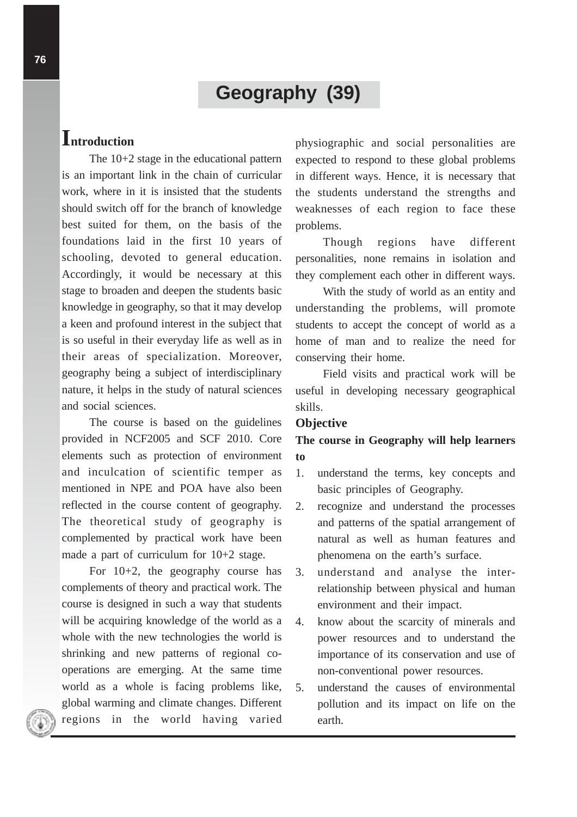# **Geography (39)**

# **Introduction**

The 10+2 stage in the educational pattern is an important link in the chain of curricular work, where in it is insisted that the students should switch off for the branch of knowledge best suited for them, on the basis of the foundations laid in the first 10 years of schooling, devoted to general education. Accordingly, it would be necessary at this stage to broaden and deepen the students basic knowledge in geography, so that it may develop a keen and profound interest in the subject that is so useful in their everyday life as well as in their areas of specialization. Moreover, geography being a subject of interdisciplinary nature, it helps in the study of natural sciences and social sciences.

The course is based on the guidelines provided in NCF2005 and SCF 2010. Core elements such as protection of environment and inculcation of scientific temper as mentioned in NPE and POA have also been reflected in the course content of geography. The theoretical study of geography is complemented by practical work have been made a part of curriculum for 10+2 stage.

For 10+2, the geography course has complements of theory and practical work. The course is designed in such a way that students will be acquiring knowledge of the world as a whole with the new technologies the world is shrinking and new patterns of regional cooperations are emerging. At the same time world as a whole is facing problems like, global warming and climate changes. Different regions in the world having varied

physiographic and social personalities are expected to respond to these global problems in different ways. Hence, it is necessary that the students understand the strengths and weaknesses of each region to face these problems.

Though regions have different personalities, none remains in isolation and they complement each other in different ways.

With the study of world as an entity and understanding the problems, will promote students to accept the concept of world as a home of man and to realize the need for conserving their home.

Field visits and practical work will be useful in developing necessary geographical skills.

## **Objective**

# **The course in Geography will help learners to**

- 1. understand the terms, key concepts and basic principles of Geography.
- 2. recognize and understand the processes and patterns of the spatial arrangement of natural as well as human features and phenomena on the earth's surface.
- 3. understand and analyse the interrelationship between physical and human environment and their impact.
- 4. know about the scarcity of minerals and power resources and to understand the importance of its conservation and use of non-conventional power resources.
- 5. understand the causes of environmental pollution and its impact on life on the earth.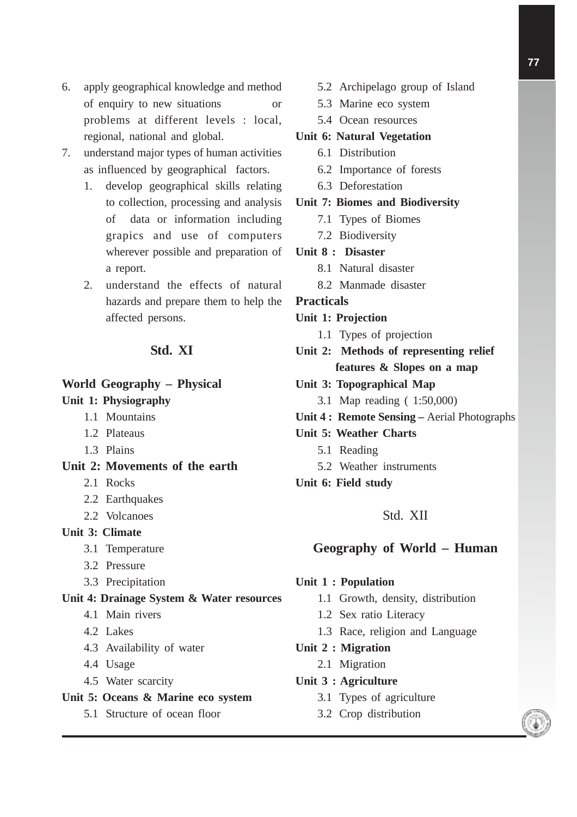- 6. apply geographical knowledge and method of enquiry to new situations or problems at different levels : local, regional, national and global.
- 7. understand major types of human activities as influenced by geographical factors.
	- 1. develop geographical skills relating to collection, processing and analysis of data or information including grapics and use of computers wherever possible and preparation of a report.
	- 2. understand the effects of natural hazards and prepare them to help the affected persons.

# **Std. XI**

#### **World Geography – Physical**

#### **Unit 1: Physiography**

- 1.1 Mountains
- 1.2 Plateaus
- 1.3 Plains

# **Unit 2: Movements of the earth**

- 2.1 Rocks
- 2.2 Earthquakes
- 2.2 Volcanoes

## **Unit 3: Climate**

- 3.1 Temperature
- 3.2 Pressure
- 3.3 Precipitation

## **Unit 4: Drainage System & Water resources**

- 4.1 Main rivers
- 4.2 Lakes
- 4.3 Availability of water
- 4.4 Usage
- 4.5 Water scarcity

#### **Unit 5: Oceans & Marine eco system**

5.1 Structure of ocean floor

- 5.2 Archipelago group of Island
- 5.3 Marine eco system
- 5.4 Ocean resources

#### **Unit 6: Natural Vegetation**

- 6.1 Distribution
- 6.2 Importance of forests
- 6.3 Deforestation

#### **Unit 7: Biomes and Biodiversity**

- 7.1 Types of Biomes
- 7.2 Biodiversity

#### **Unit 8 : Disaster**

- 8.1 Natural disaster
- 8.2 Manmade disaster

#### **Practicals**

- **Unit 1: Projection**
	- 1.1 Types of projection
- **Unit 2: Methods of representing relief features & Slopes on a map**
- **Unit 3: Topographical Map**
	- 3.1 Map reading ( 1:50,000)
- **Unit 4 : Remote Sensing** Aerial Photographs
- **Unit 5: Weather Charts**
	- 5.1 Reading
	- 5.2 Weather instruments
- **Unit 6: Field study**

## Std. XII

## **Geography of World – Human**

#### **Unit 1 : Population**

- 1.1 Growth, density, distribution
- 1.2 Sex ratio Literacy
- 1.3 Race, religion and Language

#### **Unit 2 : Migration**

- 2.1 Migration
- **Unit 3 : Agriculture**
	- 3.1 Types of agriculture
	- 3.2 Crop distribution